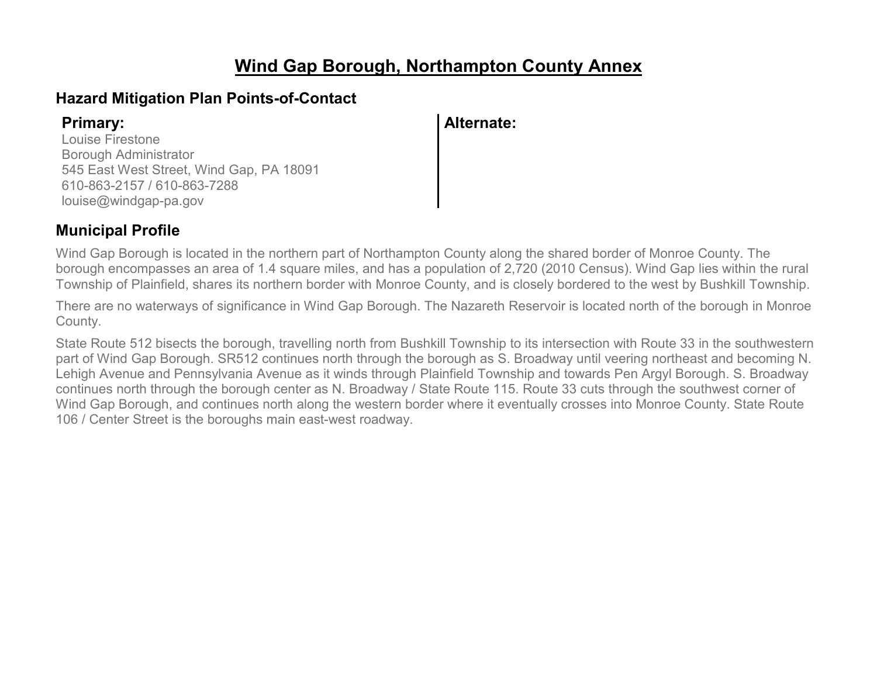# **Wind Gap Borough, Northampton County Annex**

## **Hazard Mitigation Plan Points-of-Contact**

Louise Firestone Borough Administrator 545 East West Street, Wind Gap, PA 18091 610-863-2157 / 610-863-7288 louise@windgap-pa.gov

## **Primary: Alternate:**

## **Municipal Profile**

Wind Gap Borough is located in the northern part of Northampton County along the shared border of Monroe County. The borough encompasses an area of 1.4 square miles, and has a population of 2,720 (2010 Census). Wind Gap lies within the rural Township of Plainfield, shares its northern border with Monroe County, and is closely bordered to the west by Bushkill Township.

There are no waterways of significance in Wind Gap Borough. The Nazareth Reservoir is located north of the borough in Monroe County.

State Route 512 bisects the borough, travelling north from Bushkill Township to its intersection with Route 33 in the southwestern part of Wind Gap Borough. SR512 continues north through the borough as S. Broadway until veering northeast and becoming N. Lehigh Avenue and Pennsylvania Avenue as it winds through Plainfield Township and towards Pen Argyl Borough. S. Broadway continues north through the borough center as N. Broadway / State Route 115. Route 33 cuts through the southwest corner of Wind Gap Borough, and continues north along the western border where it eventually crosses into Monroe County. State Route 106 / Center Street is the boroughs main east-west roadway.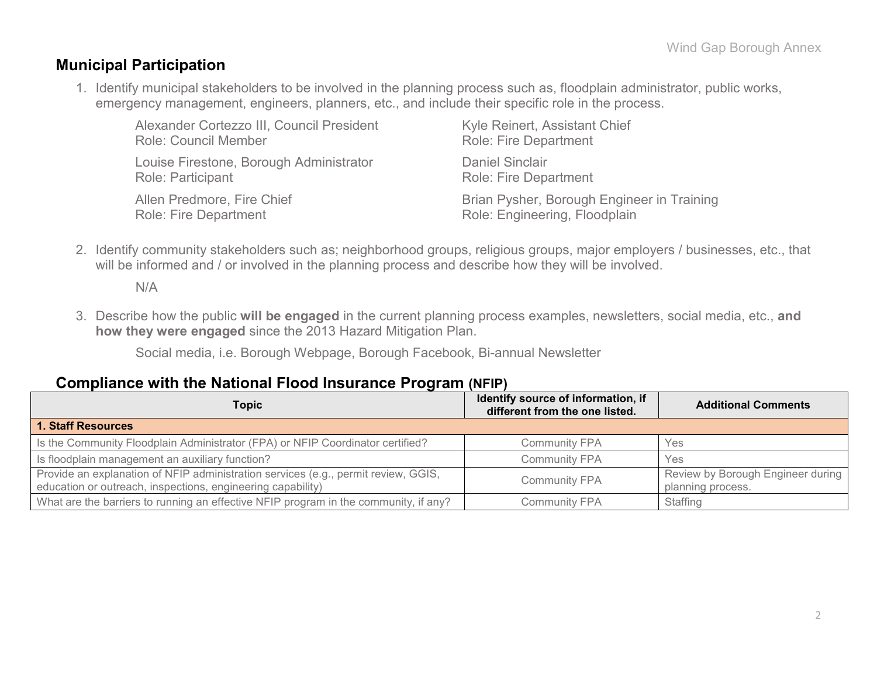### **Municipal Participation**

1. Identify municipal stakeholders to be involved in the planning process such as, floodplain administrator, public works, emergency management, engineers, planners, etc., and include their specific role in the process.

| Alexander Cortezzo III, Council President | Kyle Reinert, Assistant Chief              |  |  |  |  |
|-------------------------------------------|--------------------------------------------|--|--|--|--|
| <b>Role: Council Member</b>               | <b>Role: Fire Department</b>               |  |  |  |  |
| Louise Firestone, Borough Administrator   | <b>Daniel Sinclair</b>                     |  |  |  |  |
| Role: Participant                         | <b>Role: Fire Department</b>               |  |  |  |  |
| Allen Predmore, Fire Chief                | Brian Pysher, Borough Engineer in Training |  |  |  |  |
| <b>Role: Fire Department</b>              | Role: Engineering, Floodplain              |  |  |  |  |

2. Identify community stakeholders such as; neighborhood groups, religious groups, major employers / businesses, etc., that will be informed and / or involved in the planning process and describe how they will be involved.

N/A

3. Describe how the public **will be engaged** in the current planning process examples, newsletters, social media, etc., **and how they were engaged** since the 2013 Hazard Mitigation Plan.

Social media, i.e. Borough Webpage, Borough Facebook, Bi-annual Newsletter

### **Compliance with the National Flood Insurance Program (NFIP)**

| Topic                                                                                                                                             | Identify source of information, if<br>different from the one listed. | <b>Additional Comments</b>                             |
|---------------------------------------------------------------------------------------------------------------------------------------------------|----------------------------------------------------------------------|--------------------------------------------------------|
| <b>1. Staff Resources</b>                                                                                                                         |                                                                      |                                                        |
| Is the Community Floodplain Administrator (FPA) or NFIP Coordinator certified?                                                                    | <b>Community FPA</b>                                                 | Yes                                                    |
| Is floodplain management an auxiliary function?                                                                                                   | <b>Community FPA</b>                                                 | Yes                                                    |
| Provide an explanation of NFIP administration services (e.g., permit review, GGIS,<br>education or outreach, inspections, engineering capability) | <b>Community FPA</b>                                                 | Review by Borough Engineer during<br>planning process. |
| What are the barriers to running an effective NFIP program in the community, if any?                                                              | <b>Community FPA</b>                                                 | Staffing                                               |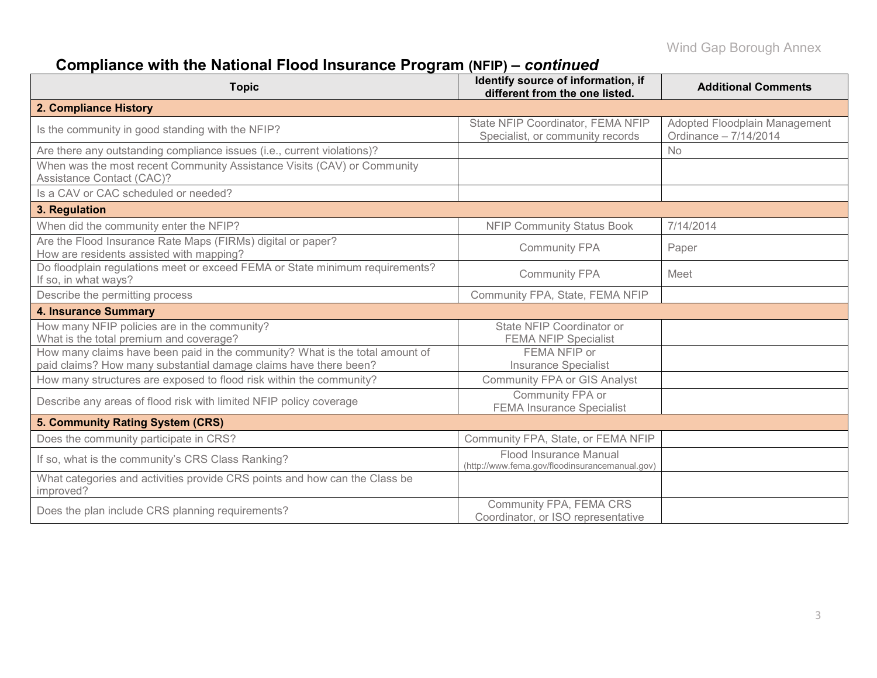# **Compliance with the National Flood Insurance Program (NFIP) –** *continued*

| <b>Topic</b>                                                                                                                                     | Identify source of information, if<br>different from the one listed.     | <b>Additional Comments</b>                             |
|--------------------------------------------------------------------------------------------------------------------------------------------------|--------------------------------------------------------------------------|--------------------------------------------------------|
| 2. Compliance History                                                                                                                            |                                                                          |                                                        |
| Is the community in good standing with the NFIP?                                                                                                 | State NFIP Coordinator, FEMA NFIP<br>Specialist, or community records    | Adopted Floodplain Management<br>Ordinance - 7/14/2014 |
| Are there any outstanding compliance issues (i.e., current violations)?                                                                          |                                                                          | <b>No</b>                                              |
| When was the most recent Community Assistance Visits (CAV) or Community<br>Assistance Contact (CAC)?                                             |                                                                          |                                                        |
| Is a CAV or CAC scheduled or needed?                                                                                                             |                                                                          |                                                        |
| 3. Regulation                                                                                                                                    |                                                                          |                                                        |
| When did the community enter the NFIP?                                                                                                           | <b>NFIP Community Status Book</b>                                        | 7/14/2014                                              |
| Are the Flood Insurance Rate Maps (FIRMs) digital or paper?<br>How are residents assisted with mapping?                                          | <b>Community FPA</b>                                                     | Paper                                                  |
| Do floodplain regulations meet or exceed FEMA or State minimum requirements?<br>If so, in what ways?                                             | <b>Community FPA</b>                                                     | Meet                                                   |
| Describe the permitting process                                                                                                                  | Community FPA, State, FEMA NFIP                                          |                                                        |
| <b>4. Insurance Summary</b>                                                                                                                      |                                                                          |                                                        |
| How many NFIP policies are in the community?<br>What is the total premium and coverage?                                                          | State NFIP Coordinator or<br><b>FEMA NFIP Specialist</b>                 |                                                        |
| How many claims have been paid in the community? What is the total amount of<br>paid claims? How many substantial damage claims have there been? | FEMA NFIP or<br><b>Insurance Specialist</b>                              |                                                        |
| How many structures are exposed to flood risk within the community?                                                                              | <b>Community FPA or GIS Analyst</b>                                      |                                                        |
| Describe any areas of flood risk with limited NFIP policy coverage                                                                               | Community FPA or<br><b>FEMA Insurance Specialist</b>                     |                                                        |
| 5. Community Rating System (CRS)                                                                                                                 |                                                                          |                                                        |
| Does the community participate in CRS?                                                                                                           | Community FPA, State, or FEMA NFIP                                       |                                                        |
| If so, what is the community's CRS Class Ranking?                                                                                                | Flood Insurance Manual<br>(http://www.fema.gov/floodinsurancemanual.gov) |                                                        |
| What categories and activities provide CRS points and how can the Class be<br>improved?                                                          |                                                                          |                                                        |
| Does the plan include CRS planning requirements?                                                                                                 | Community FPA, FEMA CRS<br>Coordinator, or ISO representative            |                                                        |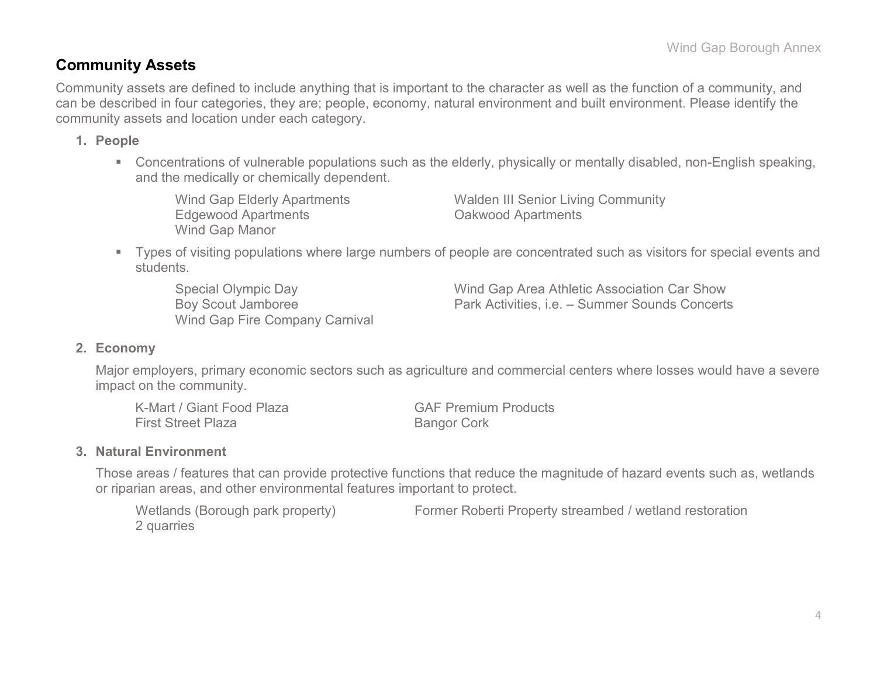## **Community Assets**

Community assets are defined to include anything that is important to the character as well as the function of a community, and can be described in four categories, they are; people, economy, natural environment and built environment. Please identify the community assets and location under each category.

#### **1. People**

 Concentrations of vulnerable populations such as the elderly, physically or mentally disabled, non-English speaking, and the medically or chemically dependent.

Edgewood Apartments Oakwood Apartments Wind Gap Manor

Wind Gap Elderly Apartments Walden III Senior Living Community

 Types of visiting populations where large numbers of people are concentrated such as visitors for special events and students.

Wind Gap Fire Company Carnival

Special Olympic Day Wind Gap Area Athletic Association Car Show Boy Scout Jamboree Park Activities, i.e. – Summer Sounds Concerts

#### **2. Economy**

Major employers, primary economic sectors such as agriculture and commercial centers where losses would have a severe impact on the community.

| K-Mart / Giant Food Plaza | <b>GAF Premium Products</b> |
|---------------------------|-----------------------------|
| <b>First Street Plaza</b> | <b>Bangor Cork</b>          |

#### **3. Natural Environment**

Those areas / features that can provide protective functions that reduce the magnitude of hazard events such as, wetlands or riparian areas, and other environmental features important to protect.

```
2 quarries
```
Wetlands (Borough park property) Former Roberti Property streambed / wetland restoration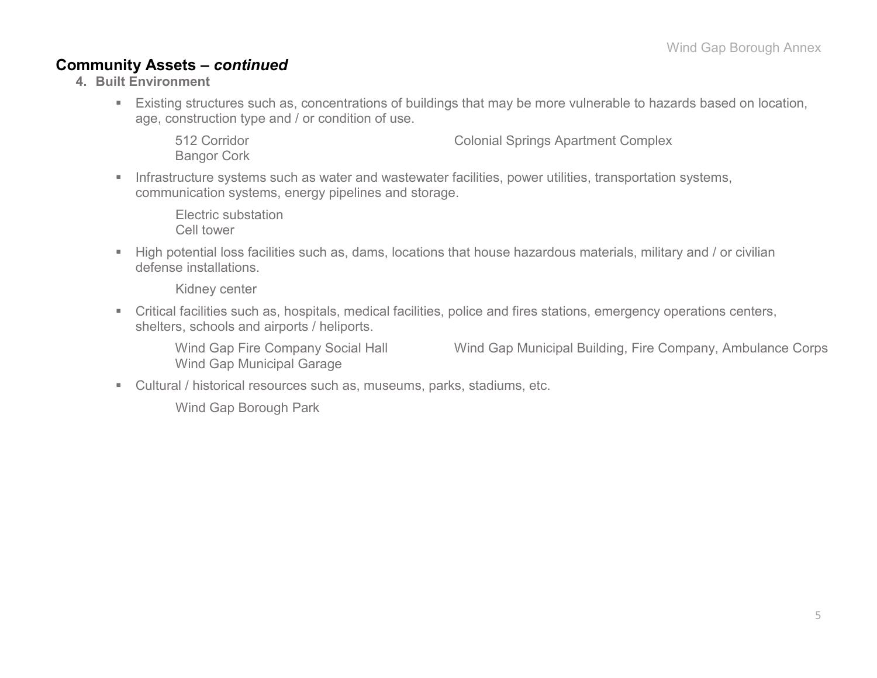## **Community Assets –** *continued*

- **4. Built Environment**
	- Existing structures such as, concentrations of buildings that may be more vulnerable to hazards based on location, age, construction type and / or condition of use.

512 Corridor Colonial Springs Apartment Complex Bangor Cork

**Infrastructure systems such as water and wastewater facilities, power utilities, transportation systems,** communication systems, energy pipelines and storage.

Electric substation Cell tower

 High potential loss facilities such as, dams, locations that house hazardous materials, military and / or civilian defense installations.

Kidney center

 Critical facilities such as, hospitals, medical facilities, police and fires stations, emergency operations centers, shelters, schools and airports / heliports.

Wind Gap Fire Company Social Hall Wind Gap Municipal Building, Fire Company, Ambulance Corps Wind Gap Municipal Garage

Cultural / historical resources such as, museums, parks, stadiums, etc.

Wind Gap Borough Park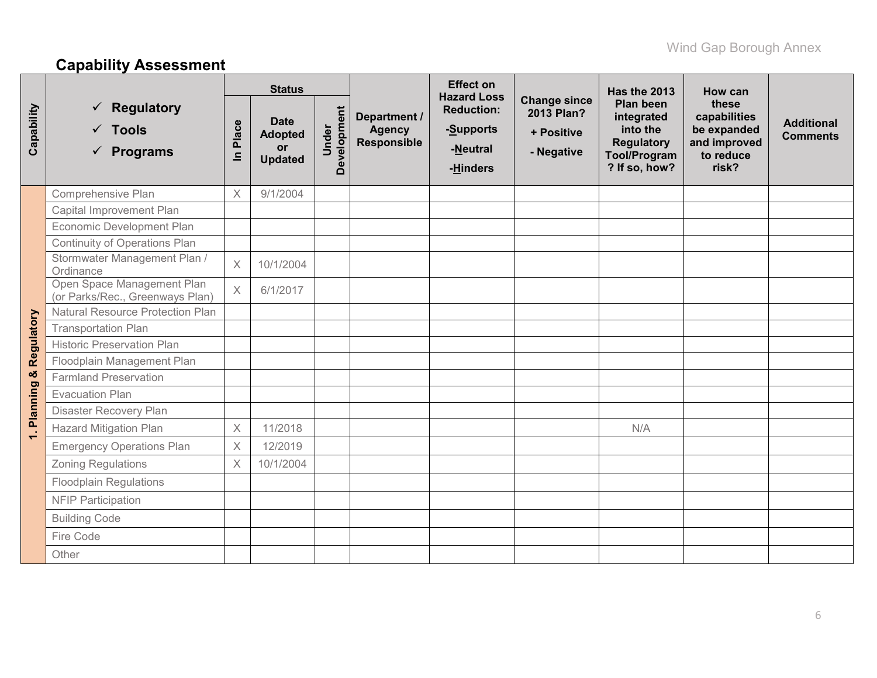# **Capability Assessment**

|            |                                                                  |            | <b>Status</b>                                         |                      |                                              | <b>Effect on</b><br><b>Hazard Loss</b>                 |                                                               | Has the 2013                                                                                            | How can                                                                    |                                      |
|------------|------------------------------------------------------------------|------------|-------------------------------------------------------|----------------------|----------------------------------------------|--------------------------------------------------------|---------------------------------------------------------------|---------------------------------------------------------------------------------------------------------|----------------------------------------------------------------------------|--------------------------------------|
| Capability | <b>Regulatory</b><br>$\checkmark$ Tools<br>$\checkmark$ Programs | Place<br>르 | <b>Date</b><br><b>Adopted</b><br>or<br><b>Updated</b> | Development<br>Under | Department /<br><b>Agency</b><br>Responsible | <b>Reduction:</b><br>-Supports<br>-Neutral<br>-Hinders | <b>Change since</b><br>2013 Plan?<br>+ Positive<br>- Negative | <b>Plan been</b><br>integrated<br>into the<br><b>Regulatory</b><br><b>Tool/Program</b><br>? If so, how? | these<br>capabilities<br>be expanded<br>and improved<br>to reduce<br>risk? | <b>Additional</b><br><b>Comments</b> |
|            | Comprehensive Plan                                               | $\times$   | 9/1/2004                                              |                      |                                              |                                                        |                                                               |                                                                                                         |                                                                            |                                      |
|            | Capital Improvement Plan                                         |            |                                                       |                      |                                              |                                                        |                                                               |                                                                                                         |                                                                            |                                      |
|            | Economic Development Plan                                        |            |                                                       |                      |                                              |                                                        |                                                               |                                                                                                         |                                                                            |                                      |
|            | Continuity of Operations Plan                                    |            |                                                       |                      |                                              |                                                        |                                                               |                                                                                                         |                                                                            |                                      |
|            | Stormwater Management Plan /<br>Ordinance                        | $\times$   | 10/1/2004                                             |                      |                                              |                                                        |                                                               |                                                                                                         |                                                                            |                                      |
|            | Open Space Management Plan<br>(or Parks/Rec., Greenways Plan)    | $\times$   | 6/1/2017                                              |                      |                                              |                                                        |                                                               |                                                                                                         |                                                                            |                                      |
|            | <b>Natural Resource Protection Plan</b>                          |            |                                                       |                      |                                              |                                                        |                                                               |                                                                                                         |                                                                            |                                      |
| Regulatory | <b>Transportation Plan</b>                                       |            |                                                       |                      |                                              |                                                        |                                                               |                                                                                                         |                                                                            |                                      |
|            | <b>Historic Preservation Plan</b>                                |            |                                                       |                      |                                              |                                                        |                                                               |                                                                                                         |                                                                            |                                      |
|            | Floodplain Management Plan                                       |            |                                                       |                      |                                              |                                                        |                                                               |                                                                                                         |                                                                            |                                      |
| ×          | <b>Farmland Preservation</b>                                     |            |                                                       |                      |                                              |                                                        |                                                               |                                                                                                         |                                                                            |                                      |
|            | <b>Evacuation Plan</b>                                           |            |                                                       |                      |                                              |                                                        |                                                               |                                                                                                         |                                                                            |                                      |
| Planning   | Disaster Recovery Plan                                           |            |                                                       |                      |                                              |                                                        |                                                               |                                                                                                         |                                                                            |                                      |
| $\div$     | <b>Hazard Mitigation Plan</b>                                    | $\times$   | 11/2018                                               |                      |                                              |                                                        |                                                               | N/A                                                                                                     |                                                                            |                                      |
|            | <b>Emergency Operations Plan</b>                                 | $\times$   | 12/2019                                               |                      |                                              |                                                        |                                                               |                                                                                                         |                                                                            |                                      |
|            | <b>Zoning Regulations</b>                                        | $\times$   | 10/1/2004                                             |                      |                                              |                                                        |                                                               |                                                                                                         |                                                                            |                                      |
|            | <b>Floodplain Regulations</b>                                    |            |                                                       |                      |                                              |                                                        |                                                               |                                                                                                         |                                                                            |                                      |
|            | <b>NFIP Participation</b>                                        |            |                                                       |                      |                                              |                                                        |                                                               |                                                                                                         |                                                                            |                                      |
|            | <b>Building Code</b>                                             |            |                                                       |                      |                                              |                                                        |                                                               |                                                                                                         |                                                                            |                                      |
|            | Fire Code                                                        |            |                                                       |                      |                                              |                                                        |                                                               |                                                                                                         |                                                                            |                                      |
|            | Other                                                            |            |                                                       |                      |                                              |                                                        |                                                               |                                                                                                         |                                                                            |                                      |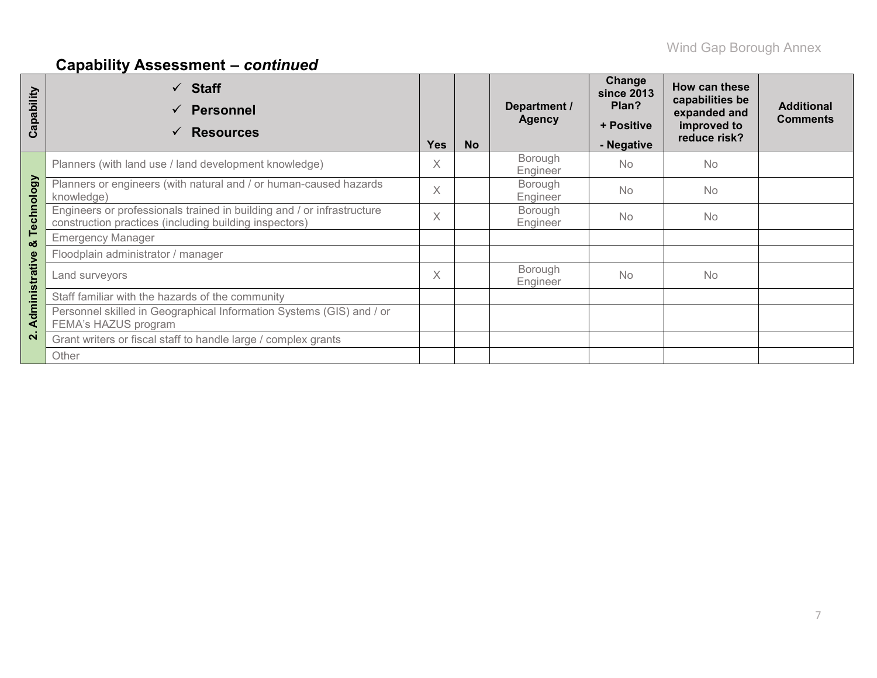# **Capability Assessment –** *continued*

| Capability     | $\checkmark$ Staff<br><b>Personnel</b><br><b>Resources</b>                                                                       | <b>Yes</b> | <b>No</b> | Department /<br><b>Agency</b> | Change<br><b>since 2013</b><br>Plan?<br>+ Positive<br>- Negative | How can these<br>capabilities be<br>expanded and<br>improved to<br>reduce risk? | <b>Additional</b><br><b>Comments</b> |
|----------------|----------------------------------------------------------------------------------------------------------------------------------|------------|-----------|-------------------------------|------------------------------------------------------------------|---------------------------------------------------------------------------------|--------------------------------------|
|                | Planners (with land use / land development knowledge)                                                                            | X          |           | Borough<br>Engineer           | No                                                               | <b>No</b>                                                                       |                                      |
|                | Planners or engineers (with natural and / or human-caused hazards<br>knowledge)                                                  | X          |           | Borough<br>Engineer           | <b>No</b>                                                        | No.                                                                             |                                      |
| Technology     | Engineers or professionals trained in building and / or infrastructure<br>construction practices (including building inspectors) | X          |           | Borough<br>Engineer           | <b>No</b>                                                        | <b>No</b>                                                                       |                                      |
| ೲ              | <b>Emergency Manager</b>                                                                                                         |            |           |                               |                                                                  |                                                                                 |                                      |
|                | Floodplain administrator / manager                                                                                               |            |           |                               |                                                                  |                                                                                 |                                      |
| Administrative | Land surveyors                                                                                                                   |            |           | Borough<br>Engineer           | No                                                               | <b>No</b>                                                                       |                                      |
|                | Staff familiar with the hazards of the community                                                                                 |            |           |                               |                                                                  |                                                                                 |                                      |
|                | Personnel skilled in Geographical Information Systems (GIS) and / or<br>FEMA's HAZUS program                                     |            |           |                               |                                                                  |                                                                                 |                                      |
| $\mathbf{N}$   | Grant writers or fiscal staff to handle large / complex grants                                                                   |            |           |                               |                                                                  |                                                                                 |                                      |
|                | Other                                                                                                                            |            |           |                               |                                                                  |                                                                                 |                                      |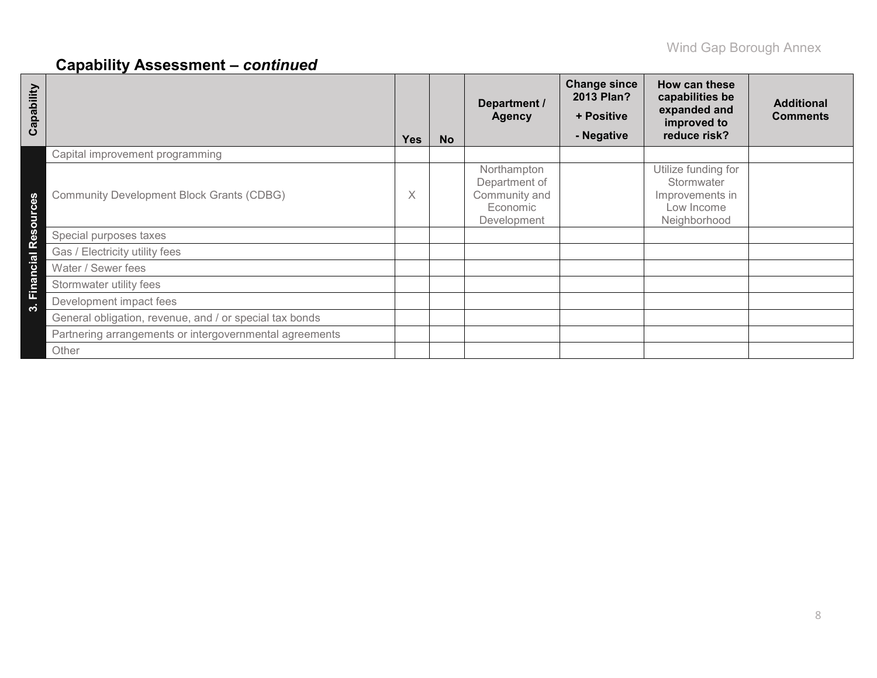# **Capability Assessment –** *continued*

| Capability          |                                                         | <b>Yes</b> | <b>No</b> | Department /<br><b>Agency</b>                                            | <b>Change since</b><br>2013 Plan?<br>+ Positive<br>- Negative | How can these<br>capabilities be<br>expanded and<br>improved to<br>reduce risk?    | <b>Additional</b><br><b>Comments</b> |
|---------------------|---------------------------------------------------------|------------|-----------|--------------------------------------------------------------------------|---------------------------------------------------------------|------------------------------------------------------------------------------------|--------------------------------------|
|                     | Capital improvement programming                         |            |           |                                                                          |                                                               |                                                                                    |                                      |
| 89<br>sourc         | <b>Community Development Block Grants (CDBG)</b>        | X          |           | Northampton<br>Department of<br>Community and<br>Economic<br>Development |                                                               | Utilize funding for<br>Stormwater<br>Improvements in<br>Low Income<br>Neighborhood |                                      |
| $\ddot{\mathbf{a}}$ | Special purposes taxes                                  |            |           |                                                                          |                                                               |                                                                                    |                                      |
| ſΫ                  | Gas / Electricity utility fees                          |            |           |                                                                          |                                                               |                                                                                    |                                      |
| <b>Financial</b>    | Water / Sewer fees                                      |            |           |                                                                          |                                                               |                                                                                    |                                      |
|                     | Stormwater utility fees                                 |            |           |                                                                          |                                                               |                                                                                    |                                      |
| ო                   | Development impact fees                                 |            |           |                                                                          |                                                               |                                                                                    |                                      |
|                     | General obligation, revenue, and / or special tax bonds |            |           |                                                                          |                                                               |                                                                                    |                                      |
|                     | Partnering arrangements or intergovernmental agreements |            |           |                                                                          |                                                               |                                                                                    |                                      |
|                     | Other                                                   |            |           |                                                                          |                                                               |                                                                                    |                                      |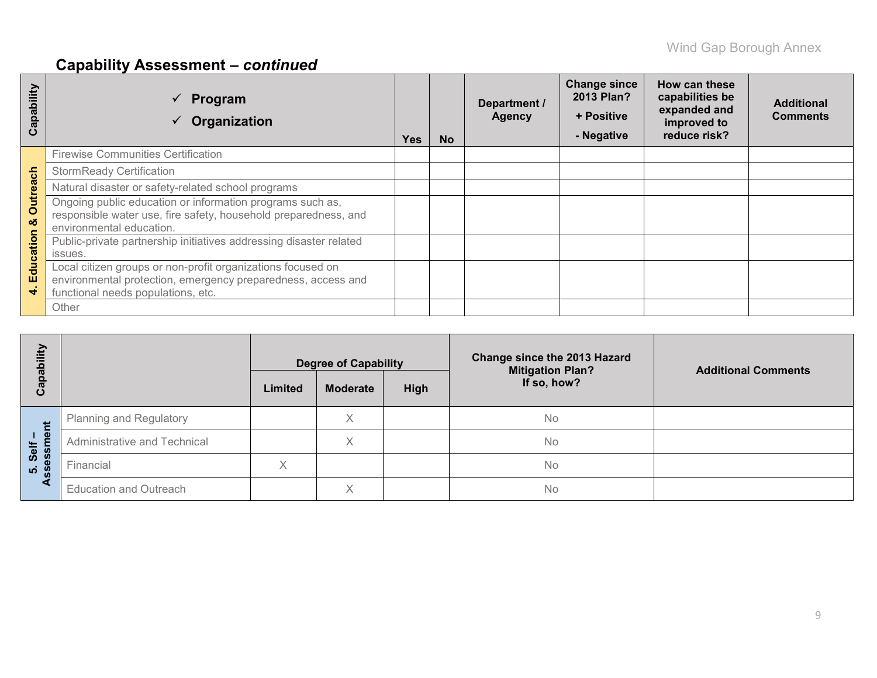# **Capability Assessment –** *continued*

| apability<br>ပ       | Program<br>Organization                                                                                                                                           | Yes | <b>No</b> | Department /<br><b>Agency</b> | <b>Change since</b><br>2013 Plan?<br>+ Positive<br>- Negative | How can these<br>capabilities be<br>expanded and<br>improved to<br>reduce risk? | <b>Additional</b><br><b>Comments</b> |
|----------------------|-------------------------------------------------------------------------------------------------------------------------------------------------------------------|-----|-----------|-------------------------------|---------------------------------------------------------------|---------------------------------------------------------------------------------|--------------------------------------|
|                      | <b>Firewise Communities Certification</b>                                                                                                                         |     |           |                               |                                                               |                                                                                 |                                      |
|                      | <b>StormReady Certification</b>                                                                                                                                   |     |           |                               |                                                               |                                                                                 |                                      |
|                      | Natural disaster or safety-related school programs                                                                                                                |     |           |                               |                                                               |                                                                                 |                                      |
| <b>Outreach</b><br>ಠ | Ongoing public education or information programs such as,<br>responsible water use, fire safety, household preparedness, and<br>environmental education.          |     |           |                               |                                                               |                                                                                 |                                      |
| Education            | Public-private partnership initiatives addressing disaster related<br>issues.                                                                                     |     |           |                               |                                                               |                                                                                 |                                      |
| 4                    | Local citizen groups or non-profit organizations focused on<br>environmental protection, emergency preparedness, access and<br>functional needs populations, etc. |     |           |                               |                                                               |                                                                                 |                                      |
|                      | Other                                                                                                                                                             |     |           |                               |                                                               |                                                                                 |                                      |

| Ë                           |                                | <b>Degree of Capability</b>        |   |  | <b>Change since the 2013 Hazard</b><br><b>Mitigation Plan?</b> | <b>Additional Comments</b> |  |
|-----------------------------|--------------------------------|------------------------------------|---|--|----------------------------------------------------------------|----------------------------|--|
| Capabi                      |                                | High<br>Limited<br><b>Moderate</b> |   |  | If so, how?                                                    |                            |  |
| だ                           | <b>Planning and Regulatory</b> |                                    | Χ |  | No                                                             |                            |  |
| $1 \nightharpoonup$<br>Self | Administrative and Technical   |                                    | Χ |  | No                                                             |                            |  |
| ess<br><b>LO</b>            | Financial                      | X                                  |   |  | No                                                             |                            |  |
| æτ                          | <b>Education and Outreach</b>  |                                    | Χ |  | <b>No</b>                                                      |                            |  |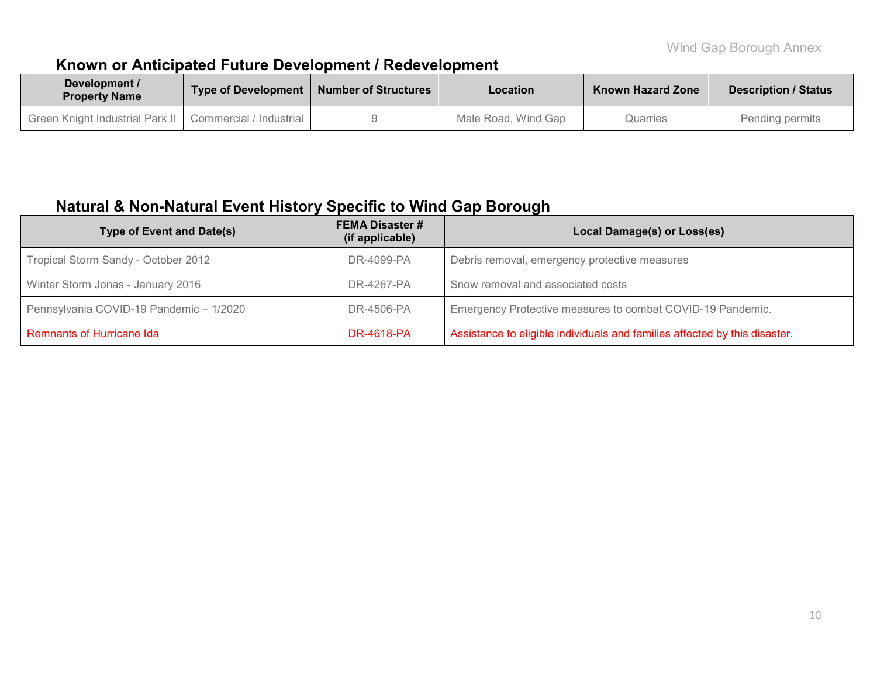# **Known or Anticipated Future Development / Redevelopment**

| Development /<br><b>Property Name</b> | Type of Development       | <b>Number of Structures</b> | Location            | <b>Known Hazard Zone</b> | <b>Description / Status</b> |
|---------------------------------------|---------------------------|-----------------------------|---------------------|--------------------------|-----------------------------|
| Ⅰ Green Knight Industrial Park Ⅱ Ⅰ    | Commercial / Industrial I |                             | Male Road, Wind Gap | Quarries                 | Pending permits             |

## **Natural & Non-Natural Event History Specific to Wind Gap Borough**

| <b>Type of Event and Date(s)</b>        | <b>FEMA Disaster #</b><br>(if applicable) | Local Damage(s) or Loss(es)                                                |
|-----------------------------------------|-------------------------------------------|----------------------------------------------------------------------------|
| Tropical Storm Sandy - October 2012     | DR-4099-PA                                | Debris removal, emergency protective measures                              |
| Winter Storm Jonas - January 2016       | DR-4267-PA                                | Snow removal and associated costs                                          |
| Pennsylvania COVID-19 Pandemic - 1/2020 | DR-4506-PA                                | Emergency Protective measures to combat COVID-19 Pandemic.                 |
| <b>Remnants of Hurricane Ida</b>        | DR-4618-PA                                | Assistance to eligible individuals and families affected by this disaster. |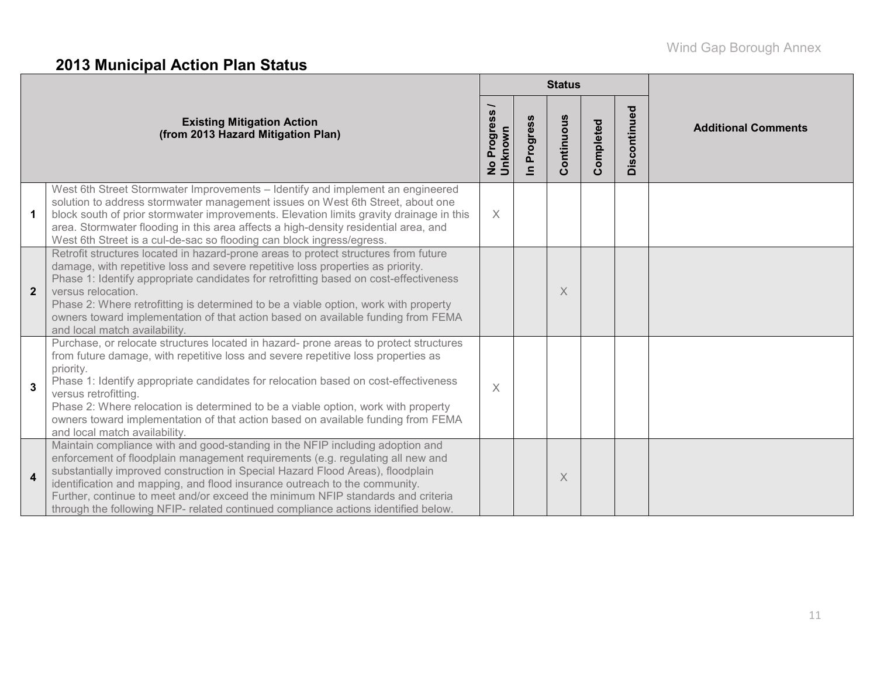# **2013 Municipal Action Plan Status**

|                       |                                                                                                                                                                                                                                                                                                                                                                                                                                                                                                                  |                        |                                        | <b>Status</b> |           |              |                            |
|-----------------------|------------------------------------------------------------------------------------------------------------------------------------------------------------------------------------------------------------------------------------------------------------------------------------------------------------------------------------------------------------------------------------------------------------------------------------------------------------------------------------------------------------------|------------------------|----------------------------------------|---------------|-----------|--------------|----------------------------|
|                       | <b>Existing Mitigation Action</b><br>(from 2013 Hazard Mitigation Plan)                                                                                                                                                                                                                                                                                                                                                                                                                                          | No Progress<br>Unknown | <b>S</b><br>Progress<br>$\blacksquare$ | Continuous    | Completed | Discontinued | <b>Additional Comments</b> |
| $\mathbf{1}$          | West 6th Street Stormwater Improvements - Identify and implement an engineered<br>solution to address stormwater management issues on West 6th Street, about one<br>block south of prior stormwater improvements. Elevation limits gravity drainage in this<br>area. Stormwater flooding in this area affects a high-density residential area, and<br>West 6th Street is a cul-de-sac so flooding can block ingress/egress.                                                                                      | $\times$               |                                        |               |           |              |                            |
| $\overline{2}$        | Retrofit structures located in hazard-prone areas to protect structures from future<br>damage, with repetitive loss and severe repetitive loss properties as priority.<br>Phase 1: Identify appropriate candidates for retrofitting based on cost-effectiveness<br>versus relocation.<br>Phase 2: Where retrofitting is determined to be a viable option, work with property<br>owners toward implementation of that action based on available funding from FEMA<br>and local match availability.                |                        |                                        | X             |           |              |                            |
| $\mathbf{3}$          | Purchase, or relocate structures located in hazard- prone areas to protect structures<br>from future damage, with repetitive loss and severe repetitive loss properties as<br>priority.<br>Phase 1: Identify appropriate candidates for relocation based on cost-effectiveness<br>versus retrofitting.<br>Phase 2: Where relocation is determined to be a viable option, work with property<br>owners toward implementation of that action based on available funding from FEMA<br>and local match availability. | $\times$               |                                        |               |           |              |                            |
| $\boldsymbol{\Delta}$ | Maintain compliance with and good-standing in the NFIP including adoption and<br>enforcement of floodplain management requirements (e.g. regulating all new and<br>substantially improved construction in Special Hazard Flood Areas), floodplain<br>identification and mapping, and flood insurance outreach to the community.<br>Further, continue to meet and/or exceed the minimum NFIP standards and criteria<br>through the following NFIP- related continued compliance actions identified below.         |                        |                                        | $\times$      |           |              |                            |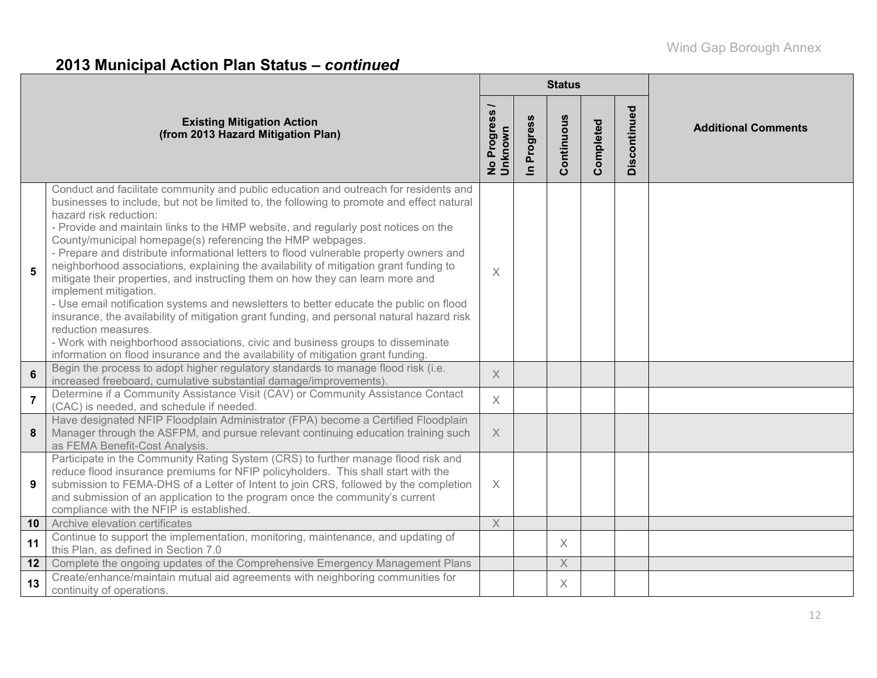# **2013 Municipal Action Plan Status –** *continued*

|                 |                                                                                                                                                                                                                                                                                                                                                                                                                                                                                                                                                                                                                                                                                                                                                                                                                                                                                                                                                                                                                                                    |                          |                      | <b>Status</b>           |           |              |                            |
|-----------------|----------------------------------------------------------------------------------------------------------------------------------------------------------------------------------------------------------------------------------------------------------------------------------------------------------------------------------------------------------------------------------------------------------------------------------------------------------------------------------------------------------------------------------------------------------------------------------------------------------------------------------------------------------------------------------------------------------------------------------------------------------------------------------------------------------------------------------------------------------------------------------------------------------------------------------------------------------------------------------------------------------------------------------------------------|--------------------------|----------------------|-------------------------|-----------|--------------|----------------------------|
|                 | <b>Existing Mitigation Action</b><br>(from 2013 Hazard Mitigation Plan)                                                                                                                                                                                                                                                                                                                                                                                                                                                                                                                                                                                                                                                                                                                                                                                                                                                                                                                                                                            | No Progress /<br>Unknown | Progress<br>$\equiv$ | Continuous              | Completed | Discontinued | <b>Additional Comments</b> |
| 5               | Conduct and facilitate community and public education and outreach for residents and<br>businesses to include, but not be limited to, the following to promote and effect natural<br>hazard risk reduction:<br>- Provide and maintain links to the HMP website, and regularly post notices on the<br>County/municipal homepage(s) referencing the HMP webpages.<br>- Prepare and distribute informational letters to flood vulnerable property owners and<br>neighborhood associations, explaining the availability of mitigation grant funding to<br>mitigate their properties, and instructing them on how they can learn more and<br>implement mitigation.<br>- Use email notification systems and newsletters to better educate the public on flood<br>insurance, the availability of mitigation grant funding, and personal natural hazard risk<br>reduction measures.<br>- Work with neighborhood associations, civic and business groups to disseminate<br>information on flood insurance and the availability of mitigation grant funding. | X                        |                      |                         |           |              |                            |
| $6\phantom{1}$  | Begin the process to adopt higher regulatory standards to manage flood risk (i.e.<br>increased freeboard, cumulative substantial damage/improvements).                                                                                                                                                                                                                                                                                                                                                                                                                                                                                                                                                                                                                                                                                                                                                                                                                                                                                             | $\times$                 |                      |                         |           |              |                            |
| $\overline{7}$  | Determine if a Community Assistance Visit (CAV) or Community Assistance Contact<br>(CAC) is needed, and schedule if needed.                                                                                                                                                                                                                                                                                                                                                                                                                                                                                                                                                                                                                                                                                                                                                                                                                                                                                                                        | $\times$                 |                      |                         |           |              |                            |
| 8               | Have designated NFIP Floodplain Administrator (FPA) become a Certified Floodplain<br>Manager through the ASFPM, and pursue relevant continuing education training such<br>as FEMA Benefit-Cost Analysis.                                                                                                                                                                                                                                                                                                                                                                                                                                                                                                                                                                                                                                                                                                                                                                                                                                           | $\mathsf X$              |                      |                         |           |              |                            |
| 9               | Participate in the Community Rating System (CRS) to further manage flood risk and<br>reduce flood insurance premiums for NFIP policyholders. This shall start with the<br>submission to FEMA-DHS of a Letter of Intent to join CRS, followed by the completion<br>and submission of an application to the program once the community's current<br>compliance with the NFIP is established.                                                                                                                                                                                                                                                                                                                                                                                                                                                                                                                                                                                                                                                         | $\times$                 |                      |                         |           |              |                            |
| 10 <sup>°</sup> | Archive elevation certificates                                                                                                                                                                                                                                                                                                                                                                                                                                                                                                                                                                                                                                                                                                                                                                                                                                                                                                                                                                                                                     | $\mathsf X$              |                      |                         |           |              |                            |
| 11              | Continue to support the implementation, monitoring, maintenance, and updating of<br>this Plan, as defined in Section 7.0                                                                                                                                                                                                                                                                                                                                                                                                                                                                                                                                                                                                                                                                                                                                                                                                                                                                                                                           |                          |                      | X                       |           |              |                            |
| 12              | Complete the ongoing updates of the Comprehensive Emergency Management Plans                                                                                                                                                                                                                                                                                                                                                                                                                                                                                                                                                                                                                                                                                                                                                                                                                                                                                                                                                                       |                          |                      | $\overline{\mathsf{X}}$ |           |              |                            |
| 13              | Create/enhance/maintain mutual aid agreements with neighboring communities for<br>continuity of operations.                                                                                                                                                                                                                                                                                                                                                                                                                                                                                                                                                                                                                                                                                                                                                                                                                                                                                                                                        |                          |                      | $\times$                |           |              |                            |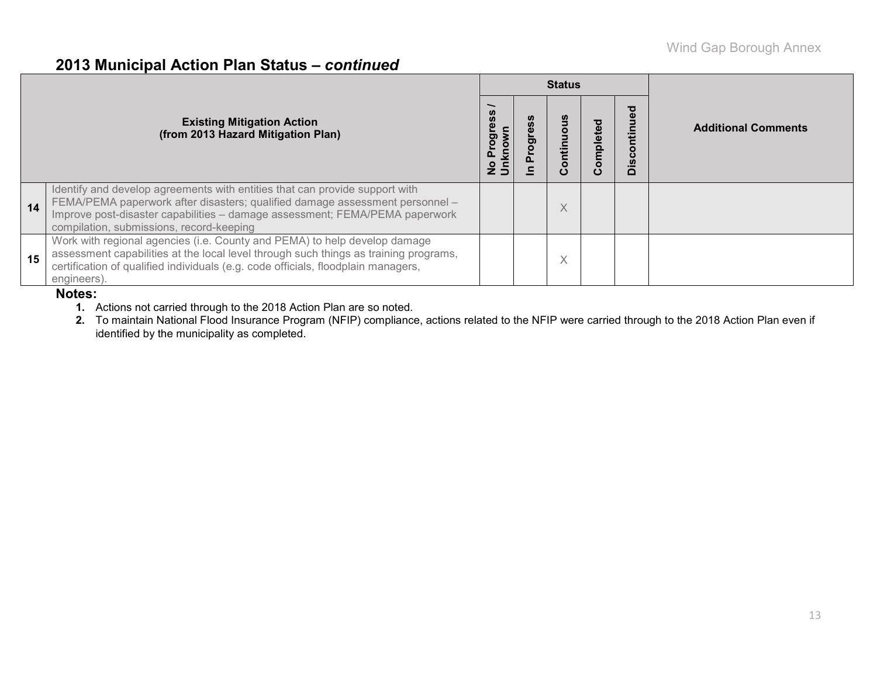## **2013 Municipal Action Plan Status –** *continued*

|    |                                                                                                                                                                                                                                                                                        |    |    | <b>Status</b> |         |        |                            |
|----|----------------------------------------------------------------------------------------------------------------------------------------------------------------------------------------------------------------------------------------------------------------------------------------|----|----|---------------|---------|--------|----------------------------|
|    | <b>Existing Mitigation Action</b><br>(from 2013 Hazard Mitigation Plan)                                                                                                                                                                                                                | ဖိ | ರಾ |               | omplete | ਠ<br>≏ | <b>Additional Comments</b> |
| 14 | Identify and develop agreements with entities that can provide support with<br>FEMA/PEMA paperwork after disasters; qualified damage assessment personnel -<br>Improve post-disaster capabilities - damage assessment; FEMA/PEMA paperwork<br>compilation, submissions, record-keeping |    |    | ∧             |         |        |                            |
| 15 | Work with regional agencies (i.e. County and PEMA) to help develop damage<br>assessment capabilities at the local level through such things as training programs,<br>certification of qualified individuals (e.g. code officials, floodplain managers,<br>engineers).                  |    |    | ∧             |         |        |                            |

#### **Notes:**

- **1.** Actions not carried through to the 2018 Action Plan are so noted.
- **2.** To maintain National Flood Insurance Program (NFIP) compliance, actions related to the NFIP were carried through to the 2018 Action Plan even if identified by the municipality as completed.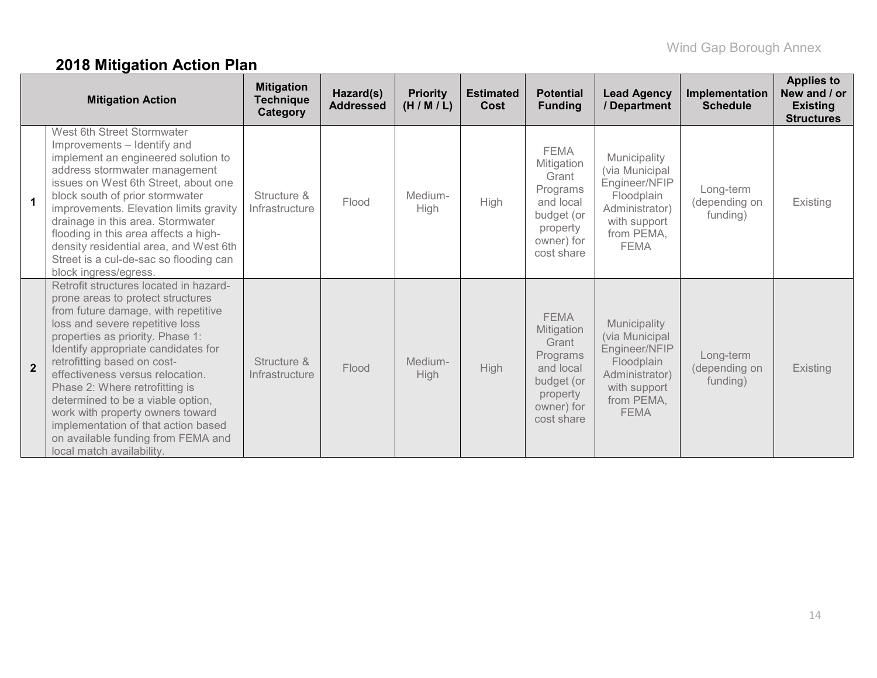# **2018 Mitigation Action Plan**

|                      | <b>Mitigation Action</b>                                                                                                                                                                                                                                                                                                                                                                                                                                                                                                 | <b>Mitigation</b><br><b>Technique</b><br>Category | Hazard(s)<br><b>Addressed</b> | <b>Priority</b><br>(H/M/L) | <b>Estimated</b><br><b>Cost</b> | <b>Potential</b><br><b>Funding</b>                                                                                | <b>Lead Agency</b><br>/ Department                                                                                           | Implementation<br><b>Schedule</b>      | <b>Applies to</b><br>New and / or<br><b>Existing</b><br><b>Structures</b> |
|----------------------|--------------------------------------------------------------------------------------------------------------------------------------------------------------------------------------------------------------------------------------------------------------------------------------------------------------------------------------------------------------------------------------------------------------------------------------------------------------------------------------------------------------------------|---------------------------------------------------|-------------------------------|----------------------------|---------------------------------|-------------------------------------------------------------------------------------------------------------------|------------------------------------------------------------------------------------------------------------------------------|----------------------------------------|---------------------------------------------------------------------------|
| $\blacktriangleleft$ | West 6th Street Stormwater<br>Improvements - Identify and<br>implement an engineered solution to<br>address stormwater management<br>issues on West 6th Street, about one<br>block south of prior stormwater<br>improvements. Elevation limits gravity<br>drainage in this area. Stormwater<br>flooding in this area affects a high-<br>density residential area, and West 6th<br>Street is a cul-de-sac so flooding can<br>block ingress/egress.                                                                        | Structure &<br>Infrastructure                     | Flood                         | Medium-<br><b>High</b>     | <b>High</b>                     | <b>FEMA</b><br>Mitigation<br>Grant<br>Programs<br>and local<br>budget (or<br>property<br>owner) for<br>cost share | Municipality<br>(via Municipal<br>Engineer/NFIP<br>Floodplain<br>Administrator)<br>with support<br>from PEMA,<br><b>FEMA</b> | Long-term<br>(depending on<br>funding) | Existing                                                                  |
| $\overline{2}$       | Retrofit structures located in hazard-<br>prone areas to protect structures<br>from future damage, with repetitive<br>loss and severe repetitive loss<br>properties as priority. Phase 1:<br>Identify appropriate candidates for<br>retrofitting based on cost-<br>effectiveness versus relocation.<br>Phase 2: Where retrofitting is<br>determined to be a viable option,<br>work with property owners toward<br>implementation of that action based<br>on available funding from FEMA and<br>local match availability. | Structure &<br>Infrastructure                     | Flood                         | Medium-<br>High            | <b>High</b>                     | <b>FEMA</b><br>Mitigation<br>Grant<br>Programs<br>and local<br>budget (or<br>property<br>owner) for<br>cost share | Municipality<br>(via Municipal<br>Engineer/NFIP<br>Floodplain<br>Administrator)<br>with support<br>from PEMA,<br><b>FEMA</b> | Long-term<br>(depending on<br>funding) | <b>Existing</b>                                                           |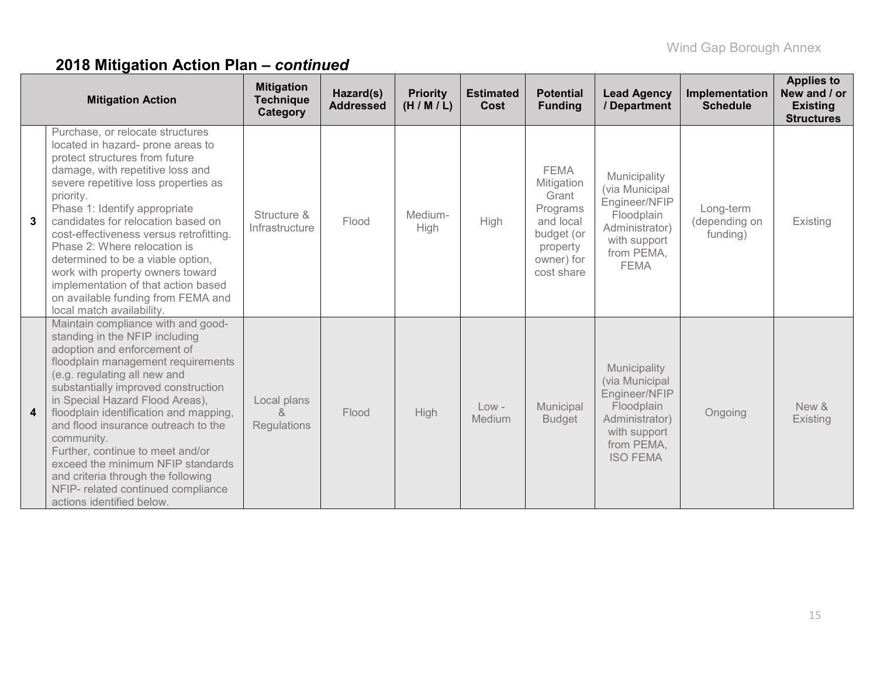|   | <b>Mitigation Action</b>                                                                                                                                                                                                                                                                                                                                                                                                                                                                                                              | <b>Mitigation</b><br><b>Technique</b><br>Category | Hazard(s)<br><b>Addressed</b> | <b>Priority</b><br>(H/M/L) | <b>Estimated</b><br>Cost | <b>Potential</b><br><b>Funding</b>                                                                                | <b>Lead Agency</b><br>/ Department                                                                                               | Implementation<br><b>Schedule</b>      | <b>Applies to</b><br>New and / or<br><b>Existing</b><br><b>Structures</b> |
|---|---------------------------------------------------------------------------------------------------------------------------------------------------------------------------------------------------------------------------------------------------------------------------------------------------------------------------------------------------------------------------------------------------------------------------------------------------------------------------------------------------------------------------------------|---------------------------------------------------|-------------------------------|----------------------------|--------------------------|-------------------------------------------------------------------------------------------------------------------|----------------------------------------------------------------------------------------------------------------------------------|----------------------------------------|---------------------------------------------------------------------------|
| 3 | Purchase, or relocate structures<br>located in hazard- prone areas to<br>protect structures from future<br>damage, with repetitive loss and<br>severe repetitive loss properties as<br>priority.<br>Phase 1: Identify appropriate<br>candidates for relocation based on<br>cost-effectiveness versus retrofitting.<br>Phase 2: Where relocation is<br>determined to be a viable option,<br>work with property owners toward<br>implementation of that action based<br>on available funding from FEMA and<br>local match availability. | Structure &<br>Infrastructure                     | Flood                         | Medium-<br>High            | High                     | <b>FEMA</b><br>Mitigation<br>Grant<br>Programs<br>and local<br>budget (or<br>property<br>owner) for<br>cost share | Municipality<br>(via Municipal<br>Engineer/NFIP<br>Floodplain<br>Administrator)<br>with support<br>from PEMA,<br><b>FEMA</b>     | Long-term<br>(depending on<br>funding) | Existing                                                                  |
| 4 | Maintain compliance with and good-<br>standing in the NFIP including<br>adoption and enforcement of<br>floodplain management requirements<br>(e.g. regulating all new and<br>substantially improved construction<br>in Special Hazard Flood Areas),<br>floodplain identification and mapping,<br>and flood insurance outreach to the<br>community.<br>Further, continue to meet and/or<br>exceed the minimum NFIP standards<br>and criteria through the following<br>NFIP- related continued compliance<br>actions identified below.  | Local plans<br>&<br><b>Regulations</b>            | Flood                         | High                       | $Low -$<br>Medium        | Municipal<br><b>Budget</b>                                                                                        | Municipality<br>(via Municipal<br>Engineer/NFIP<br>Floodplain<br>Administrator)<br>with support<br>from PEMA,<br><b>ISO FEMA</b> | Ongoing                                | New &<br>Existing                                                         |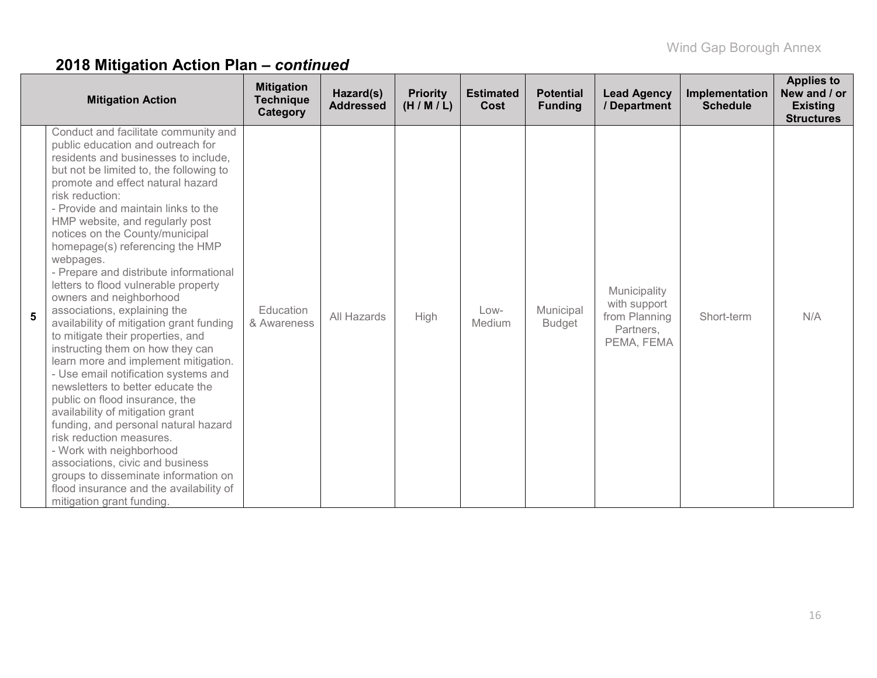|   | <b>Mitigation Action</b>                                                                                                                                                                                                                                                                                                                                                                                                                                                                                                                                                                                                                                                                                                                                                                                                                                                                                                                                                                                                                                                                           | <b>Mitigation</b><br><b>Technique</b><br>Category | Hazard(s)<br><b>Addressed</b> | <b>Priority</b><br>(H/M/L) | <b>Estimated</b><br>Cost | <b>Potential</b><br><b>Funding</b> | <b>Lead Agency</b><br>/ Department                                       | Implementation<br><b>Schedule</b> | <b>Applies to</b><br>New and / or<br><b>Existing</b><br><b>Structures</b> |
|---|----------------------------------------------------------------------------------------------------------------------------------------------------------------------------------------------------------------------------------------------------------------------------------------------------------------------------------------------------------------------------------------------------------------------------------------------------------------------------------------------------------------------------------------------------------------------------------------------------------------------------------------------------------------------------------------------------------------------------------------------------------------------------------------------------------------------------------------------------------------------------------------------------------------------------------------------------------------------------------------------------------------------------------------------------------------------------------------------------|---------------------------------------------------|-------------------------------|----------------------------|--------------------------|------------------------------------|--------------------------------------------------------------------------|-----------------------------------|---------------------------------------------------------------------------|
| 5 | Conduct and facilitate community and<br>public education and outreach for<br>residents and businesses to include,<br>but not be limited to, the following to<br>promote and effect natural hazard<br>risk reduction:<br>- Provide and maintain links to the<br>HMP website, and regularly post<br>notices on the County/municipal<br>homepage(s) referencing the HMP<br>webpages.<br>- Prepare and distribute informational<br>letters to flood vulnerable property<br>owners and neighborhood<br>associations, explaining the<br>availability of mitigation grant funding<br>to mitigate their properties, and<br>instructing them on how they can<br>learn more and implement mitigation.<br>- Use email notification systems and<br>newsletters to better educate the<br>public on flood insurance, the<br>availability of mitigation grant<br>funding, and personal natural hazard<br>risk reduction measures.<br>- Work with neighborhood<br>associations, civic and business<br>groups to disseminate information on<br>flood insurance and the availability of<br>mitigation grant funding. | Education<br>& Awareness                          | All Hazards                   | High                       | Low-<br>Medium           | Municipal<br><b>Budget</b>         | Municipality<br>with support<br>from Planning<br>Partners,<br>PEMA, FEMA | Short-term                        | N/A                                                                       |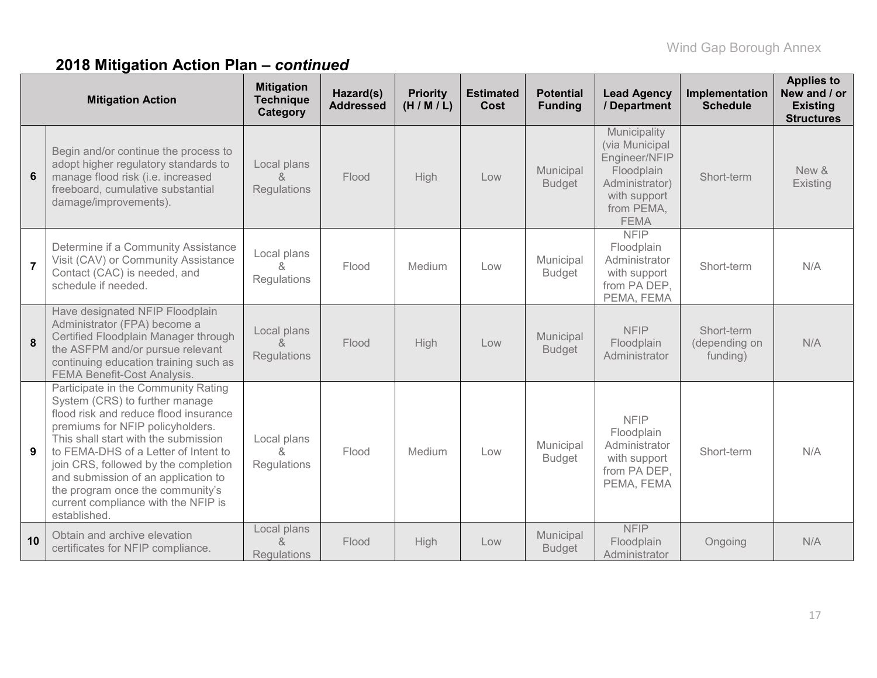|                | <b>Mitigation Action</b>                                                                                                                                                                                                                                                                                                                                                                                     | <b>Mitigation</b><br><b>Technique</b><br>Category | Hazard(s)<br><b>Addressed</b> | <b>Priority</b><br>(H/M/L) | <b>Estimated</b><br>Cost | <b>Potential</b><br><b>Funding</b> | <b>Lead Agency</b><br>/ Department                                                                                           | Implementation<br><b>Schedule</b>       | <b>Applies to</b><br>New and / or<br><b>Existing</b><br><b>Structures</b> |
|----------------|--------------------------------------------------------------------------------------------------------------------------------------------------------------------------------------------------------------------------------------------------------------------------------------------------------------------------------------------------------------------------------------------------------------|---------------------------------------------------|-------------------------------|----------------------------|--------------------------|------------------------------------|------------------------------------------------------------------------------------------------------------------------------|-----------------------------------------|---------------------------------------------------------------------------|
| 6              | Begin and/or continue the process to<br>adopt higher regulatory standards to<br>manage flood risk (i.e. increased<br>freeboard, cumulative substantial<br>damage/improvements).                                                                                                                                                                                                                              | Local plans<br>$\alpha$<br>Regulations            | Flood                         | High                       | Low                      | Municipal<br><b>Budget</b>         | Municipality<br>(via Municipal<br>Engineer/NFIP<br>Floodplain<br>Administrator)<br>with support<br>from PEMA,<br><b>FEMA</b> | Short-term                              | New &<br>Existing                                                         |
| $\overline{7}$ | Determine if a Community Assistance<br>Visit (CAV) or Community Assistance<br>Contact (CAC) is needed, and<br>schedule if needed.                                                                                                                                                                                                                                                                            | Local plans<br>&<br>Regulations                   | Flood                         | Medium                     | Low                      | Municipal<br><b>Budget</b>         | <b>NFIP</b><br>Floodplain<br>Administrator<br>with support<br>from PA DEP,<br>PEMA, FEMA                                     | Short-term                              | N/A                                                                       |
| 8              | Have designated NFIP Floodplain<br>Administrator (FPA) become a<br>Certified Floodplain Manager through<br>the ASFPM and/or pursue relevant<br>continuing education training such as<br>FEMA Benefit-Cost Analysis.                                                                                                                                                                                          | Local plans<br>&<br>Regulations                   | Flood                         | High                       | Low                      | Municipal<br><b>Budget</b>         | <b>NFIP</b><br>Floodplain<br>Administrator                                                                                   | Short-term<br>(depending on<br>funding) | N/A                                                                       |
| 9              | Participate in the Community Rating<br>System (CRS) to further manage<br>flood risk and reduce flood insurance<br>premiums for NFIP policyholders.<br>This shall start with the submission<br>to FEMA-DHS of a Letter of Intent to<br>join CRS, followed by the completion<br>and submission of an application to<br>the program once the community's<br>current compliance with the NFIP is<br>established. | Local plans<br>$\alpha$<br>Regulations            | Flood                         | Medium                     | Low                      | Municipal<br><b>Budget</b>         | <b>NFIP</b><br>Floodplain<br>Administrator<br>with support<br>from PA DEP,<br>PEMA, FEMA                                     | Short-term                              | N/A                                                                       |
| 10             | Obtain and archive elevation<br>certificates for NFIP compliance.                                                                                                                                                                                                                                                                                                                                            | Local plans<br>$\alpha$<br><b>Regulations</b>     | Flood                         | High                       | Low                      | Municipal<br><b>Budget</b>         | <b>NFIP</b><br>Floodplain<br>Administrator                                                                                   | Ongoing                                 | N/A                                                                       |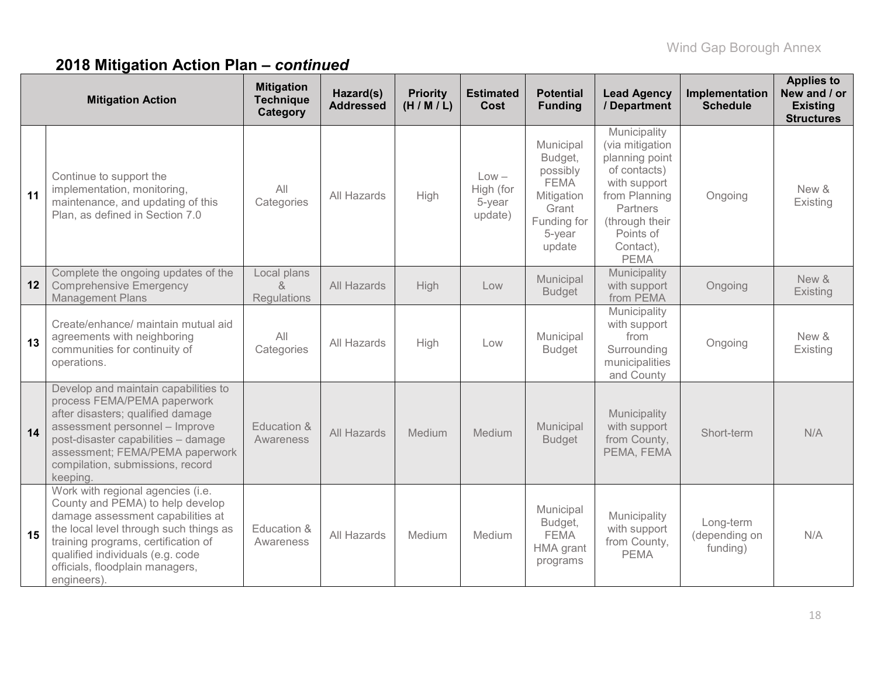|    | <b>Mitigation Action</b>                                                                                                                                                                                                                                                         | <b>Mitigation</b><br><b>Technique</b><br>Category | Hazard(s)<br><b>Addressed</b> | <b>Priority</b><br>(H/M/L) | <b>Estimated</b><br>Cost                  | <b>Potential</b><br><b>Funding</b>                                                                        | <b>Lead Agency</b><br>/ Department                                                                                                                                        | Implementation<br><b>Schedule</b>      | <b>Applies to</b><br>New and / or<br><b>Existing</b><br><b>Structures</b> |
|----|----------------------------------------------------------------------------------------------------------------------------------------------------------------------------------------------------------------------------------------------------------------------------------|---------------------------------------------------|-------------------------------|----------------------------|-------------------------------------------|-----------------------------------------------------------------------------------------------------------|---------------------------------------------------------------------------------------------------------------------------------------------------------------------------|----------------------------------------|---------------------------------------------------------------------------|
| 11 | Continue to support the<br>implementation, monitoring,<br>maintenance, and updating of this<br>Plan, as defined in Section 7.0                                                                                                                                                   | All<br>Categories                                 | All Hazards                   | High                       | $Low -$<br>High (for<br>5-year<br>update) | Municipal<br>Budget,<br>possibly<br><b>FEMA</b><br>Mitigation<br>Grant<br>Funding for<br>5-year<br>update | Municipality<br>(via mitigation<br>planning point<br>of contacts)<br>with support<br>from Planning<br>Partners<br>(through their<br>Points of<br>Contact),<br><b>PEMA</b> | Ongoing                                | New &<br>Existing                                                         |
| 12 | Complete the ongoing updates of the<br><b>Comprehensive Emergency</b><br><b>Management Plans</b>                                                                                                                                                                                 | Local plans<br>$\alpha$<br>Regulations            | All Hazards                   | High                       | Low                                       | Municipal<br><b>Budget</b>                                                                                | Municipality<br>with support<br>from PEMA                                                                                                                                 | Ongoing                                | New &<br>Existing                                                         |
| 13 | Create/enhance/ maintain mutual aid<br>agreements with neighboring<br>communities for continuity of<br>operations.                                                                                                                                                               | All<br>Categories                                 | All Hazards                   | High                       | Low                                       | Municipal<br><b>Budget</b>                                                                                | Municipality<br>with support<br>from<br>Surrounding<br>municipalities<br>and County                                                                                       | Ongoing                                | New &<br>Existing                                                         |
| 14 | Develop and maintain capabilities to<br>process FEMA/PEMA paperwork<br>after disasters; qualified damage<br>assessment personnel - Improve<br>post-disaster capabilities - damage<br>assessment; FEMA/PEMA paperwork<br>compilation, submissions, record<br>keeping.             | Education &<br>Awareness                          | All Hazards                   | Medium                     | Medium                                    | Municipal<br><b>Budget</b>                                                                                | Municipality<br>with support<br>from County,<br>PEMA, FEMA                                                                                                                | Short-term                             | N/A                                                                       |
| 15 | Work with regional agencies (i.e.<br>County and PEMA) to help develop<br>damage assessment capabilities at<br>the local level through such things as<br>training programs, certification of<br>qualified individuals (e.g. code<br>officials, floodplain managers,<br>engineers) | Education &<br>Awareness                          | All Hazards                   | Medium                     | Medium                                    | Municipal<br>Budget,<br><b>FEMA</b><br>HMA grant<br>programs                                              | Municipality<br>with support<br>from County,<br><b>PEMA</b>                                                                                                               | Long-term<br>(depending on<br>funding) | N/A                                                                       |